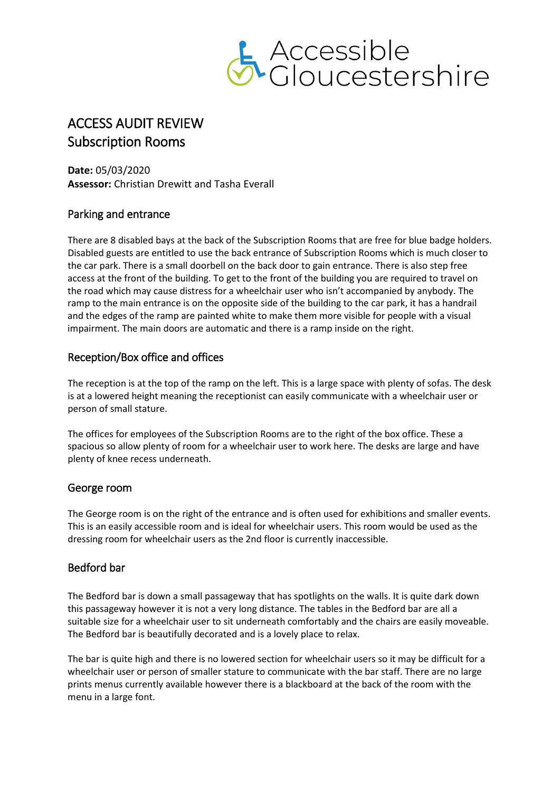

# ACCESS AUDIT REVIEW Subscription Rooms

**Date:** 05/03/2020 **Assessor:** Christian Drewitt and Tasha Everall

## Parking and entrance

There are 8 disabled bays at the back of the Subscription Rooms that are free for blue badge holders. Disabled guests are entitled to use the back entrance of Subscription Rooms which is much closer to the car park. There is a small doorbell on the back door to gain entrance. There is also step free access at the front of the building. To get to the front of the building you are required to travel on the road which may cause distress for a wheelchair user who isn't accompanied by anybody. The ramp to the main entrance is on the opposite side of the building to the car park, it has a handrail and the edges of the ramp are painted white to make them more visible for people with a visual impairment. The main doors are automatic and there is a ramp inside on the right.

## Reception/Box office and offices

The reception is at the top of the ramp on the left. This is a large space with plenty of sofas. The desk is at a lowered height meaning the receptionist can easily communicate with a wheelchair user or person of small stature.

The offices for employees of the Subscription Rooms are to the right of the box office. These a spacious so allow plenty of room for a wheelchair user to work here. The desks are large and have plenty of knee recess underneath.

#### George room

The George room is on the right of the entrance and is often used for exhibitions and smaller events. This is an easily accessible room and is ideal for wheelchair users. This room would be used as the dressing room for wheelchair users as the 2nd floor is currently inaccessible.

# Bedford bar

The Bedford bar is down a small passageway that has spotlights on the walls. It is quite dark down this passageway however it is not a very long distance. The tables in the Bedford bar are all a suitable size for a wheelchair user to sit underneath comfortably and the chairs are easily moveable. The Bedford bar is beautifully decorated and is a lovely place to relax.

The bar is quite high and there is no lowered section for wheelchair users so it may be difficult for a wheelchair user or person of smaller stature to communicate with the bar staff. There are no large prints menus currently available however there is a blackboard at the back of the room with the menu in a large font.